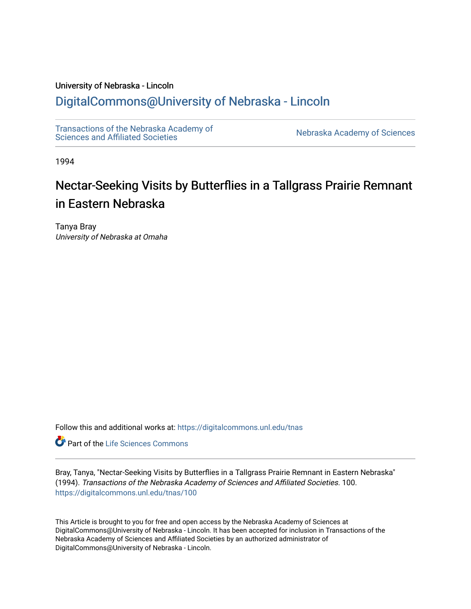## University of Nebraska - Lincoln

# [DigitalCommons@University of Nebraska - Lincoln](https://digitalcommons.unl.edu/)

[Transactions of the Nebraska Academy of](https://digitalcommons.unl.edu/tnas)  Transactions of the Nebraska Academy of Sciences<br>Sciences and Affiliated Societies

1994

# Nectar-Seeking Visits by Butterflies in a Tallgrass Prairie Remnant in Eastern Nebraska

Tanya Bray University of Nebraska at Omaha

Follow this and additional works at: [https://digitalcommons.unl.edu/tnas](https://digitalcommons.unl.edu/tnas?utm_source=digitalcommons.unl.edu%2Ftnas%2F100&utm_medium=PDF&utm_campaign=PDFCoverPages) 

**Part of the Life Sciences Commons** 

Bray, Tanya, "Nectar-Seeking Visits by Butterflies in a Tallgrass Prairie Remnant in Eastern Nebraska" (1994). Transactions of the Nebraska Academy of Sciences and Affiliated Societies. 100. [https://digitalcommons.unl.edu/tnas/100](https://digitalcommons.unl.edu/tnas/100?utm_source=digitalcommons.unl.edu%2Ftnas%2F100&utm_medium=PDF&utm_campaign=PDFCoverPages) 

This Article is brought to you for free and open access by the Nebraska Academy of Sciences at DigitalCommons@University of Nebraska - Lincoln. It has been accepted for inclusion in Transactions of the Nebraska Academy of Sciences and Affiliated Societies by an authorized administrator of DigitalCommons@University of Nebraska - Lincoln.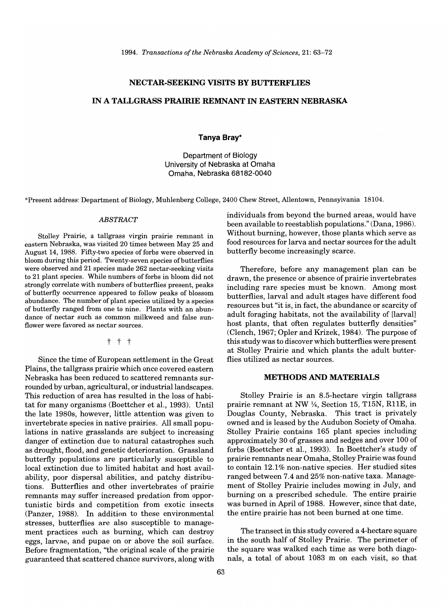#### **NECTAR·SEEKING VISITS BY BUTTERFLIES**

### IN A **TALLGRASS PRAIRIE REMNANT IN EASTERN NEBRASKA**

#### **Tanya Bray\***

Department of Biology University of Nebraska at Omaha Omaha, Nebraska 68182-0040

\*Present address: Department of Biology, Muhlenberg College, 2400 Chew Street, Allentown, Pennsylvania 18104.

#### *ABSTRACT*

Stolley Prairie, a tallgrass virgin prairie remnant in eastern Nebraska, was visited 20 times between May 25 and August 14, 1988. Fifty-two species of forbs were observed in bloom during this period. Twenty-seven species of butterflies were observed and 21 species made 262 nectar-seeking visits to 21 plant species. While numbers of forbs in bloom did not strongly correlate with numbers of butterflies present, peaks of butterfly occurrence appeared to follow peaks of blossom abundance. The number of plant species utilized by a species of butterfly ranged from one to nine. Plants with an abundance of nectar such as common milkweed and false sunflower were favored as nectar sources.

t t t

Since the time of European settlement in the Great Plains, the tallgrass prairie which once covered eastern Nebraska has been reduced to scattered remnants surrounded by urban, agricultural, or industrial landscapes. This reduction of area has resulted in the loss of habitat for many organisms (Boettcher et al., 1993). Until the late 1980s, however, little attention was given to invertebrate species in native prairies. All small populations in native grasslands are subject to increasing danger of extinction due to natural catastrophes such as drought, flood, and genetic deterioration. Grassland butterfly populations are particularly susceptible to local extinction due to limited habitat and host availability, poor dispersal abilities, and patchy distributions. Butterflies and other invertebrates of prairie remnants may suffer increased predation from opportunistic birds and competition from exotic insects (Panzer, 1988). In addition to these environmental stresses, butterflies are also susceptible to management practices such as burning, which can destroy eggs, larvae, and pupae on or above the soil surface. Before fragmentation, "the original scale of the prairie guaranteed that scattered chance survivors, along with individuals from beyond the burned areas, would have been available to reestablish populations." (Dana, 1986). Without burning, however, those plants which serve as food resources for larva and nectar sources for the adult butterfly become increasingly scarce.

Therefore, before any management plan can be drawn, the presence or absence of prairie invertebrates including rare species must be known. Among most butterflies, larval and adult stages have different food resources but "it is, in fact, the abundance or scarcity of adult foraging habitats, not the availability of [larval] host plants, that often regulates butterfly densities" (Clench, 1967; Opler and Krizek, 1984). The purpose of this study was to discover which butterflies were present at Stolley Prairie and which plants the adult butterflies utilized as nectar sources.

#### **METHODS AND MATERIALS**

Stolley Prairie is an 8.5-hectare virgin tallgrass prairie remnant at NW  $\frac{1}{4}$ , Section 15, T15N, R11E, in Douglas County, Nebraska. This tract is privately owned and is leased by the Audubon Society of Omaha. Stolley Prairie contains 165 plant species including approximately 30 of grasses and sedges and over 100 of forbs (Boettcher et al., 1993). In Boettcher's study of prairie remnants near Omaha, Stolley Prairie was found to contain 12.1% non-native species. Her studied sites ranged between 7.4 and 25% non-native taxa. Management of Stolley Prairie includes mowing in July, and burning on a prescribed schedule. The entire prairie was burned in April of 1988. However, since that date, the entire prairie has not been burned at one time.

The transect in this study covered a 4-hectare square in the south half of Stolley Prairie. The perimeter of the square was walked each time as were both diagonals, a total of about 1083 m on each visit, so that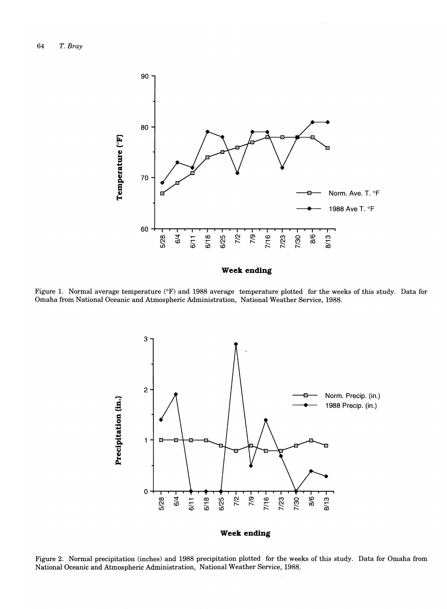

**Week ending** 

Figure 1. Normal average temperature (°F) and 1988 average temperature plotted for the weeks of this study. Data for Omaha from National Oceanic and Atmospheric Administration, National Weather Service, 1988.



Figure 2. Normal precipitation (inches) and 1988 precipitation plotted for the weeks of this study. Data for Omaha from National Oceanic and Atmospheric Administration, National Weather Service, 1988.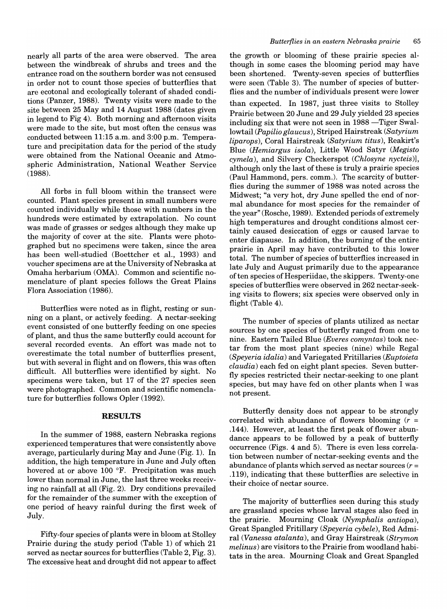nearly all parts of the area were observed. The area between the windbreak of shrubs and trees and the entrance road on the southern border was not censused in order not to count those species of butterflies that are ecotonal and ecologically tolerant of shaded conditions (Panzer, 1988). Twenty visits were made to the site between 25 May and 14 August 1988 (dates given in legend to Fig 4). Both morning and afternoon visits were made to the site, but most often the census was conducted between 11:15 a.m. and 3:00 p.m. Temperature and precipitation data for the period of the study were obtained from the National Oceanic and Atmospheric Administration, National Weather Service (1988).

All forbs in full bloom within the transect were counted. Plant species present in small numbers were counted individually while those with numbers in the hundreds were estimated by extrapolation. No count was made of grasses or sedges although they make up the majority of cover at the site. Plants were photographed but no specimens were taken, since the area has been well-studied (Boettcher et aI., 1993) and voucher specimens are at the University of Nebraska at Omaha herbarium (OMA). Common and scientific nomenclature of plant species follows the Great Plains Flora Association (1986).

Butterflies were noted as in flight, resting or sunning on a plant, or actively feeding. A nectar-seeking event consisted of one butterfly feeding on one species of plant, and thus the same butterfly could account for several recorded events. An effort was made not to overestimate the total number of butterflies present, but with several in flight and on flowers, this was often difficult. All butterflies were identified by sight. No specimens were taken, but 17 of the 27 species seen were photographed. Common and scientific nomenclature for butterflies follows Opler (1992).

#### **RESULTS**

In the summer of 1988, eastern Nebraska regions experienced temperatures that were consistently above average, particularly during May and June (Fig. 1). In addition, the high temperature in June and July often hovered at or above 100  $\mathrm{P}$ . Precipitation was much lower than normal in June, the last three weeks receiving no rainfall at all (Fig. 2). Dry conditions prevailed for the remainder of the summer with the exception of one period of heavy rainful during the first week of July.

Fifty-four species of plants were in bloom at Stolley Prairie during the study period (Table 1) of which 21 served as nectar sources for butterflies (Table 2, Fig. 3). The excessive heat and drought did not appear to affect the growth or blooming of these prairie species although in some cases the blooming period may have been shortened. Twenty-seven species of butterflies were seen (Table 3). The number of species of butterflies and the number of individuals present were lower than expected. In 1987, just three visits to Stolley Prairie between 20 June and 29 July yielded 23 species including six that were not seen in  $1988$  -Tiger Swallowtail *(Papilio glaucus),* Striped Hairstreak *(Satynum liparops*), Coral Hairstreak (Satyrium titus), Reakirt's Blue (Hemiargus isola), Little Wood Satyr (Megisto *cymela*), and Silvery Checkerspot *(Chlosyne nycteis)*], although only the last of these is truly a prairie species (Paul Hammond, pers. comm.). The scarcity of butterflies during the summer of 1988 was noted across the Midwest; "a very hot, dry June spelled the end of normal abundance for most species for the remainder of the year" (Rosche, 1989). Extended periods of extremely high temperatures and drought conditions almost certainly caused desiccation of eggs or caused larvae to enter diapause. In addition, the burning of the entire prairie in April may have contributed to this lower totaL The number of species of butterflies increased in late July and August primarily due to the appearance of ten species of Hesperiidae, the skippers. Twenty-one species of butterflies were observed in 262 nectar-seeking visits to flowers; six species were observed only in flight (Table 4).

The number of species of plants utilized as nectar sources by one species of butterfly ranged from one to nine. Eastern Tailed Blue *(Everes comyntas)* took nectar from the most plant species (nine) while Regal *(Speyeria idalia)* and Variegated Fritillaries *(Euptoieta claudia)* each fed on eight plant species. Seven butterfly species restricted their nectar-seeking to one plant species, but may have fed on other plants when I was not present.

Butterfly density does not appear to be strongly correlated with abundance of flowers blooming (r *=*  .144). However, at least the first peak of flower abundance appears to be followed by a peak of butterfly occurrence (Figs. 4 and 5). There is even less correlation between number of nectar-seeking events and the abundance of plants which served as nectar sources (r *=*  .119), indicating that these butterflies are selective in their choice of nectar source.

The majority of butterflies seen during this study are grassland species whose larval stages also feed in the prairie. Mourning Cloak *(Nymphalis antiopa),*  Great Spangled Fritillary *(Speyeria cybele),* Red Admiral *(Vanessa atalanta),* and Gray Hairstreak *(Strymon melinus)* are visitors to the Prairie from woodland habitats in the area. Mourning Cloak and Great Spangled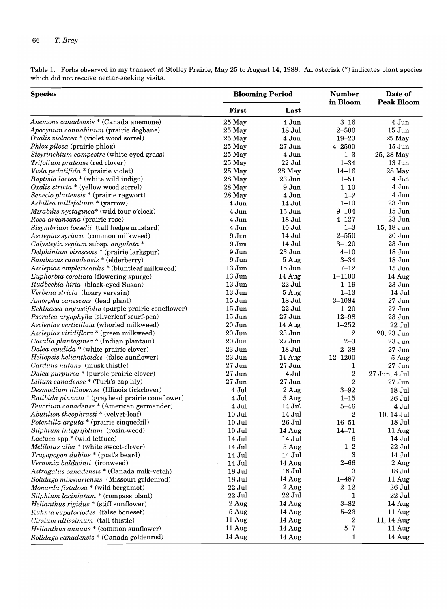$\bar{\beta}$ 

Table 1. Forbs observed in my transect at Stolley Prairie, May 25 to August 14, 1988. An asterisk (\*) indicates plant species which did not receive nectar-seeking visits.

| <b>Species</b>                                     |                    | <b>Blooming Period</b> | <b>Number</b><br>in Bloom | Date of<br><b>Peak Bloom</b> |  |  |  |
|----------------------------------------------------|--------------------|------------------------|---------------------------|------------------------------|--|--|--|
|                                                    | First              | Last                   |                           |                              |  |  |  |
| Anemone canadensis * (Canada anemone)              | 25 May             | 4 Jun                  | $3 - 16$                  | 4 Jun                        |  |  |  |
| Apocynum cannabinum (prairie dogbane)              | 25 May             | 18 Jul                 | $2 - 500$                 | $15$ Jun                     |  |  |  |
| $Oxalis$ violacea * (violet wood sorrel)           | $25$ May           | 4 Jun                  | $19 - 23$                 | 25 May                       |  |  |  |
| Phlox pilosa (prairie phlox)                       | 25 May             | $27$ Jun               | $4 - 2500$                | $15$ Jun                     |  |  |  |
| Sisyrinchium campestre (white-eyed grass)          | $25$ May           | 4 Jun                  | $1 - 3$                   | 25, 28 May                   |  |  |  |
| Trifolium pratense (red clover)                    | 25 May             | 22 Jul                 | $1 - 34$                  | $13\,\rm{Jun}$               |  |  |  |
| Viola pedatifida * (prairie violet)                | 25 May             | 28 May                 | $14 - 16$                 | 28 May                       |  |  |  |
| Baptisia lactea * (white wild indigo)              | 28 May             | 23 Jun                 | $1 - 51$                  | $4\:\rm{Jun}$                |  |  |  |
| Oxalis stricta $*$ (yellow wood sorrel)            | 28 May             | 9 Jun                  | $1 - 10$                  | 4 Jun                        |  |  |  |
| Senecio plattensis * (prairie ragwort)             | 28 May             | 4 Jun                  | $1 - 2$                   | 4 Jun                        |  |  |  |
| Achillea millefolium * (yarrow)                    | 4 Jun              | 14 Jul                 | $1 - 10$                  | 23 Jun                       |  |  |  |
| Mirabilis nyctaginea* (wild four-o'clock)          | 4 Jun              | $15$ Jun               | $9 - 104$                 | $15$ Jun                     |  |  |  |
| Rosa arkansana (prairie rose)                      | 4 Jun              | 18 Jul                 | $4 - 127$                 | 23 Jun                       |  |  |  |
| Sisymbrium loeselii (tall hedge mustard)           | 4 Jun              | $10$ Jul               | $1 - 3$                   | 15, 18 Jun                   |  |  |  |
| Asclepias syriaca (common milkweed)                | 9 Jun              | 14 Jul                 | $2 - 550$                 | $20$ Jun                     |  |  |  |
| Calystegia sepium subsp. angulata *                | 9 Jun              | 14 Jul                 | $3 - 120$                 | 23 Jun                       |  |  |  |
| Delphinium virescens * (prairie larkspur)          | 9 Jun              | $23$ Jun               | $4 - 10$                  | $18$ Jun                     |  |  |  |
| Sambucus canadensis * (elderberry)                 | 9 Jun              | 5 Aug                  | $3 - 34$                  | 18 Jun                       |  |  |  |
| Asclepias amplexicaulis * (bluntleaf milkweed)     | $13$ Jun           | $15$ Jun               | $7 - 12$                  | $15$ Jun                     |  |  |  |
| Euphorbia corollata (flowering spurge)             | $13$ Jun           | 14 Aug                 | $1 - 1100$                | 14 Aug                       |  |  |  |
| Rudbeckia hirta (black-eyed Susan)                 | $13$ Jun           | 22 Jul                 | $1 - 19$                  | 23 Jun                       |  |  |  |
| Verbena stricta (hoary vervain)                    | $13$ Jun           | 5 Aug                  | $1 - 13$                  | 14 Jul                       |  |  |  |
| Amorpha canescens (lead plant)                     | $15$ Jun           | 18 Jul                 | $3 - 1084$                | $27$ Jun                     |  |  |  |
| Echinacea angustifolia (purple prairie coneflower) | $15$ Jun           | 22 Jul                 | $1 - 20$                  | $27$ Jun                     |  |  |  |
| Psoralea argophylla (silverleaf scurf-pea)         | $15$ Jun           | $27$ Jun               | $12 - 98$                 | 23 Jun                       |  |  |  |
| Asclepias verticillata (whorled milkweed)          | 20 Jun             | 14 Aug                 | $1 - 252$                 | 22 Jul                       |  |  |  |
| Asclepias viridiflora * (green milkweed)           | 20 Jun             | 23 Jun                 | 2                         | 20, 23 Jun                   |  |  |  |
| Cacalia plantaginea * (Indian plantain)            | $20$ Jun           | $27\,\rm{Jun}$         | $2 - 3$                   | $23\,\mathrm{Jun}$           |  |  |  |
| Dalea candida $*$ (white prairie clover)           | 23 Jun             | 18 Jul                 | $2 - 38$                  | $27$ Jun                     |  |  |  |
| <i>Heliopsis helianthoides</i> (false sunflower)   | 23 Jun             | 14 Aug                 | $12 - 1200$               | 5 Aug                        |  |  |  |
| Carduus nutans (musk thistle)                      | $27\,\mathrm{Jun}$ | 27 Jun                 | 1                         | 27 Jun                       |  |  |  |
| Dalea purpurea * (purple prairie clover)           | $27\,\mathrm{Jun}$ | 4 Jul                  | $\boldsymbol{2}$          | 27 Jun, 4 Jul                |  |  |  |
| Lilium canadense * (Turk's-cap lily)               | $27$ Jun           | $27$ Jun               | $\boldsymbol{2}$          | $27\,\rm{Jun}$               |  |  |  |
| Desmodium illinoense (Illinois tickclover)         | $4\:\rm{Jul}$      | 2 Aug                  | $3 - 92$                  | $18$ Jul                     |  |  |  |
| Ratibida pinnata * (grayhead prairie coneflower)   | 4 Jul              | 5 Aug                  | $1 - 15$                  | 26 Jul                       |  |  |  |
| Teucrium canadense * (American germander)          | 4 Jul              | 14 Jul                 | $5 - 46$                  | 4 Jul                        |  |  |  |
| Abutilion theophrasti * (velvet-leaf)              | $10$ Jul           | 14 Jul                 | 2                         | 10, 14 Jul                   |  |  |  |
| Potentilla arguta * (prairie cinquefoil)           | 10 Jul             | 26 Jul                 | $16 - 51$                 | 18 Jul                       |  |  |  |
| Silphium integrifolium (rosin-weed)                | $10$ Jul           | 14 Aug                 | $14 - 71$                 | 11 Aug                       |  |  |  |
| Lactuca spp.* (wild lettuce)                       | 14 Jul             | 14 Jul                 | 6                         | 14 Jul                       |  |  |  |
| Melilotus $alba *$ (white sweet-clover)            | 14 Jul             | 5 Aug                  | $1 - 2$                   | $22$ Jul                     |  |  |  |
| Tragopogon dubius * (goat's beard)                 | 14 Jul             | 14 Jul                 | 3                         | 14 Jul                       |  |  |  |
| Vernonia baldwinii (ironweed)                      | 14 Jul             | 14 Aug                 | $2 - 66$                  | 2 Aug                        |  |  |  |
| Astragalus canadensis * (Canada milk-vetch)        | 18 Jul             | 18 Jul                 | 3                         | 18 Jul                       |  |  |  |
| Solidago missouriensis (Missouri goldenrod)        | $18$ Jul           | 14 Aug                 | $1 - 487$                 |                              |  |  |  |
| Monarda fistulosa * (wild bergamot)                | 22 Jul             | 2 Aug                  | $2 - 12$                  | 11 Aug<br>$26$ Jul           |  |  |  |
|                                                    |                    |                        |                           |                              |  |  |  |
| Silphium laciniatum * (compass plant)              | 22 Jul             | 22 Jul                 | 1                         | 22 Jul                       |  |  |  |
| Helianthus rigidus * (stiff sunflower)             | 2 Aug              | 14 Aug                 | $3 - 82$                  | 14 Aug                       |  |  |  |
| Kuhnia eupatoriodes (false boneset)                | 5 Aug              | 14 Aug                 | $5 - 23$                  | 11 Aug                       |  |  |  |
| Cirsium altissimum (tall thistle)                  | 11 Aug             | 14 Aug                 | 2                         | 11, 14 Aug                   |  |  |  |
| Helianthus annuus * (common sunflower)             | 11 Aug<br>14 Aug   | 14 Aug                 | $5 - 7$                   | 11 Aug                       |  |  |  |
| Solidago canadensis * (Canada goldenrod)           |                    | 14 Aug                 | 1                         | 14 Aug                       |  |  |  |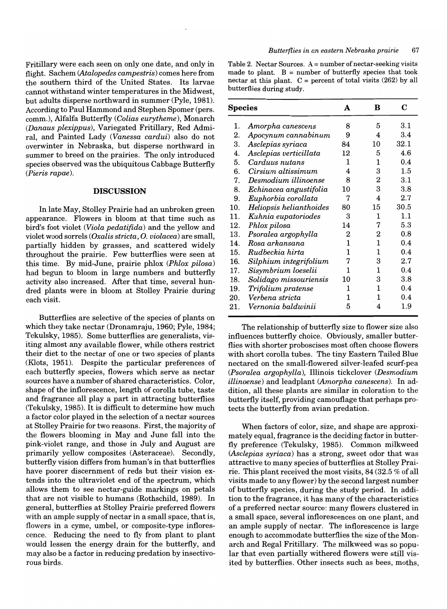Fritillary were each seen on only one date, and only in flight. Sachem *<Atalopedes campestris)* comes here from the southern third of the United States. Its larvae cannot withstand winter temperatures in the Midwest, but adults disperse northward in summer (Pyle, 1981). According to Paul Hammond and Stephen Spomer (pers. comm.), Alfalfa Butterfly *(Colias eurytheme),* Monarch *(Danaus plexippus),* Variegated Fritillary, Red Admiral, and Painted Lady *(Vanessa cardui)* also do not overwinter in Nebraska, but disperse northward in summer to breed on the prairies. The only introduced species observed was the ubiquitous Cabbage Butterfly *(Pieris rapae).* 

#### **DISCUSSION**

In late May, Stolley Prairie had an unbroken green appearance. Flowers in bloom at that time such as bird's foot violet *(Viola pedatifida)* and the yellow and violet wood sorrels *(Oxalis stricta,* O. *violacea)* are small, partially hidden by grasses, and scattered widely throughout the prairie. Few butterflies were seen at this time. By mid-June, prairie phlox *(Phlox pilosa)*  had begun to bloom in large numbers and butterfly activity also increased. After that time, several hundred plants were in bloom at Stolley Prairie during each visit.

Butterflies are selective of the species of plants on which they take nectar (Dronamraju, 1960; Pyle, 1984; Tekulsky, 1985). Some butterflies are generalists, visiting almost any available flower, while others restrict their diet to the nectar of one or two species of plants (Klots, 1951). Despite the particular preferences of each butterfly species, flowers which serve as nectar sources have a number of shared characteristics. Color, shape of the inflorescence, length of corolla tube, taste and fragrance all play a part in attracting butterflies (Tekulsky, 1985). It is difficult to determine how much a factor color played in the selection of a nectar sources at Stolley Prairie for two reasons. First, the majority of the flowers blooming in May and June fall into the pink-violet range, and those in July and August are primarily yellow composites (Asteraceae). Secondly, butterfly vision differs from human's in that butterflies have poorer discernment of reds but their vision extends into the ultraviolet end of the spectrum, which allows them to see nectar-guide markings on petals that are not visible to humans (Rothschild, 1989). In general, butterflies at Stolley Prairie preferred flowers with an ample supply of nectar in a small space, that is, flowers in a cyme, umbel, or composite-type inflorescence. Reducing the need to fly from plant to plant would lessen the energy drain for the butterfly, and may also be a factor in reducing predation by insectivorous birds.

Table 2. Nectar Sources. A = number of nectar-seeking visits made to plant.  $B =$  number of butterfly species that took nectar at this plant.  $C =$  percent of total visits (262) by all butterflies during study.

| Species |                         | A  | в  | C       |
|---------|-------------------------|----|----|---------|
| 1.      | Amorpha canescens       | 8  | 5  | 3.1     |
| 2.      | Apocynum cannabinum     | 9  | 4  | 3.4     |
| 3.      | Asclepias syriaca       | 84 | 10 | 32.1    |
| 4.      | Asclepias verticillata  | 12 | 5  | 4.6     |
| 5.      | Carduus nutans          | 1  | 1  | 0.4     |
| 6.      | Cirsium altissimum      | 4  | 3  | 1.5     |
| 7.      | Desmodium illinoense    | 8  | 2  | 3.1     |
| 8.      | Echinacea angustifolia  | 10 | 3  | $3.8\,$ |
| 9.      | Euphorbia corollata     | 7  | 4  | 2.7     |
| 10.     | Heliopsis helianthoides | 80 | 15 | 30.5    |
| 11.     | Kuhnia eupatoriodes     | 3  | 1  | 1.1     |
| 12.     | Phlox pilosa            | 14 | 7  | 5.3     |
| 13.     | Psoralea argophylla     | 2  | 2  | 0.8     |
| 14.     | Rosa arkansana          | 1  | 1  | 0.4     |
| 15.     | Rudbeckia hirta         | 1  | 1  | 0.4     |
| 16.     | Silphium integrifolium  | 7  | 3  | 2.7     |
| 17.     | Sisymbrium loeselii     | 1  | 1  | 0.4     |
| 18.     | Solidago missouriensis  | 10 | 3  | 3.8     |
| 19.     | Trifolium pratense      | 1  | 1  | 0.4     |
| 20.     | Verbena stricta         | 1  | 1  | 0.4     |
| 21.     | Vernonia baldwinii      | 5  | 4  | $1.9\,$ |

The relationship of butterfly size to flower size also influences butterfly choice. Obviously, smaller butterflies with shorter proboscises most often choose flowers with short corolla tubes. The tiny Eastern Tailed Blue nectared on the small-flowered silver-leafed scurf-pea *(Psoralea argophylla),* Illinois tickclover *(Desmodium illinoense)* and leadplant *(Amorpha canescens).* In addition, all these plants are similar in coloration to the butterfly itself, providing camouflage that perhaps protects the butterfly from avian predation.

When factors of color, size, and shape are approximately equal, fragrance is the deciding factor in butterfly preference (Tekulsky, 1985). Common milkweed *(Asclepias syriaca)* has a strong, sweet odor that was attractive to many species of butterflies at Stolley Prairie. This plant received the most visits, 84 (32.5 % of all visits made to any flower) by the second largest number of butterfly species, during the study period. In addition to the fragrance, it has many of the characteristics of a preferred nectar source: many flowers clustered in a small space, several inflorescences on one plant, and an ample supply of nectar. The inflorescence is large enough to accommodate butterflies the size of the Monarch and Regal Fritillary. The milkweed was so popular that even partially withered flowers were still visited by butterflies. Other insects such as bees, moths,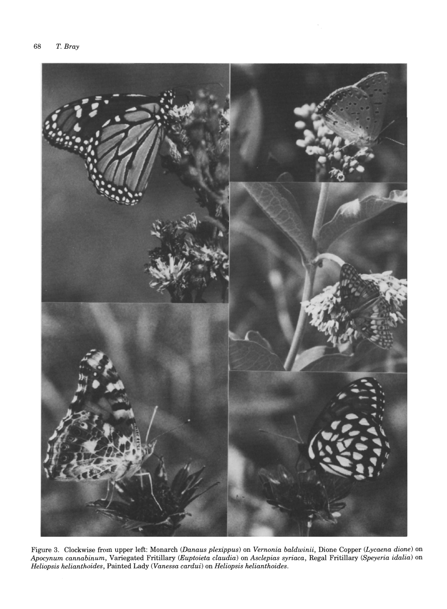

Figure 3. Clockwise from upper left: Monarch *(Dana us plexippus)* on *Vernonia baldwinii,* Dione Copper *(Lycaena dione)* on *Apocynum cannabinum,* Variegated Fritillary *(Euptoieta claudia)* on *Asclepias syriaca,* Regal Fritillary *(Speyeria idalia)* on *Heliopsis helianthoides,* Painted Lady *(Vanessa cardui)* on *Heliopsis helianthoides.*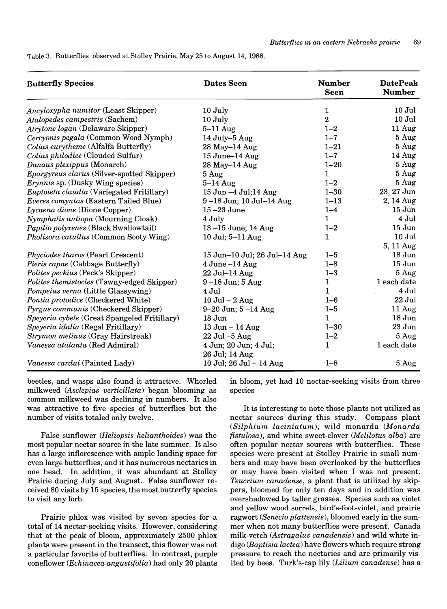Table 3. Butterflies observed at Stolley Prairie, May 25 to August 14, 1988.

| <b>Butterfly Species</b>                         | <b>Dates Seen</b>                       | <b>Number</b><br><b>Seen</b> | <b>DatePeak</b><br><b>Number</b> |  |  |
|--------------------------------------------------|-----------------------------------------|------------------------------|----------------------------------|--|--|
| Ancyloxypha numitor (Least Skipper)              | 10 July                                 | $\mathbf{1}$                 | $10$ Jul                         |  |  |
| Atalopedes campestris (Sachem)                   | 10 July                                 | $\overline{2}$               | $10$ Jul                         |  |  |
| Atrytone logan (Delaware Skipper)                | $5-11$ Aug                              | $1 - 2$                      | 11 Aug                           |  |  |
| Cercyonis pegala (Common Wood Nymph)             | 14 July-5 Aug                           | $1 - 7$                      | 5 Aug                            |  |  |
| Colias eurytheme (Alfalfa Butterfly)             | 28 May-14 Aug                           | $1 - 21$                     | 5 Aug                            |  |  |
| Colias philodice (Clouded Sulfur)                | 15 June-14 Aug                          | $1 - 7$                      | 14 Aug                           |  |  |
| Danaus plexippus (Monarch)                       | 28 May-14 Aug                           | $1 - 20$                     | 5 Aug                            |  |  |
| Epargyreus clarus (Silver-spotted Skipper)       | 5 Aug                                   | $\mathbf{1}$                 | 5 Aug                            |  |  |
| <i>Erynnis</i> sp. (Dusky Wing species)          | $5-14$ Aug                              | $1 - 2$                      | 5 Aug                            |  |  |
| <i>Euptoieta claudia</i> (Variegated Fritillary) | 15 Jun -4 Jul;14 Aug                    | $1 - 30$                     | 23, 27 Jun                       |  |  |
| Everes comyntas (Eastern Tailed Blue)            | 9-18 Jun; 10 Jul-14 Aug                 | $1 - 13$                     | 2, 14 Aug                        |  |  |
| Lycaena dione (Dione Copper)                     | $15 - 23$ June                          | $1 - 4$                      | $15$ Jun                         |  |  |
| Nymphalis antiopa (Mourning Cloak)               | 4 July                                  | $\mathbf{1}$                 | 4 Jul                            |  |  |
| Papilio polyxenes (Black Swallowtail)            | 13-15 June; 14 Aug                      | $1 - 2$                      | $15$ Jun                         |  |  |
| Pholisora catullus (Common Sooty Wing)           | 10 Jul; 5-11 Aug                        | $\mathbf{1}$                 | $10$ Jul                         |  |  |
|                                                  |                                         |                              | 5, 11 Aug                        |  |  |
| Phyciodes tharos (Pearl Crescent)                | 15 Jun-10 Jul; 26 Jul-14 Aug            | $1 - 5$                      | $18$ Jun                         |  |  |
| Pieris rapae (Cabbage Butterfly)                 | $4$ June $-14$ Aug                      | $1 - 8$                      | $15$ Jun                         |  |  |
| Polites peckius (Peck's Skipper)                 | 22 Jul-14 Aug                           | $1 - 3$                      | 5 Aug                            |  |  |
| Polites themistocles (Tawny-edged Skipper)       | $9-18$ Jun; $5$ Aug                     | 1                            | 1 each date                      |  |  |
| Pompeius verna (Little Glassywing)               | 4 Jul                                   | $\mathbf{1}$                 | $4$ Jul                          |  |  |
| Pontia protodice (Checkered White)               | $10$ Jul $-2$ Aug                       | $1 - 6$                      | 22 Jul                           |  |  |
| Pyrgus communis (Checkered Skipper)              | $9 - 20$ Jun; $5 - 14$ Aug              | $1 - 5$                      | 11 Aug                           |  |  |
| Speyeria cybele (Great Spangeled Fritillary)     | 18 Jun                                  | 1                            | $18$ Jun                         |  |  |
| Speyeria idalia (Regal Fritillary)               | 13 Jun - 14 Aug                         | $1 - 30$                     | 23 Jun                           |  |  |
| Strymon melinus (Gray Hairstreak)                | $22$ Jul $-5$ Aug                       | $1 - 2$                      | 5 Aug                            |  |  |
| Vanessa atalanta (Red Admiral)                   | 4 Jun; 20 Jun; 4 Jul;<br>26 Jul; 14 Aug | $\mathbf{1}$                 | 1 each date                      |  |  |
| Vanessa cardui (Painted Lady)                    | 10 Jul; 26 Jul - 14 Aug                 | $1 - 8$                      | 5 Aug                            |  |  |

beetles, and wasps also found it attractive. Whorled milkweed *<Asclepias verticillata)* began blooming as common milkweed was declining in numbers. It also was attractive to five species of butterflies but the number of visits totaled only twelve.

False sunflower *(Heliopsis helianthoides)* was the most popular nectar source in the late summer. It also has a large inflorescence with ample landing space for even large butterflies, and it has numerous nectaries in one head. In addition, it was abundant at Stolley Prairie during July and August. False sunflower received 80 visits by 15 species, the most butterfly species to visit any forb.

Prairie phlox was visited by seven species for a total of 14 nectar-seeking visits. However, considering that at the peak of bloom, approximately 2500 phlox plants were present in the transect, this flower was not a particular favorite of butterflies. In contrast, purple coneflower *(Echinacea angustifolia)* had only 20 plants

in bloom, yet had 10 nectar-seeking visits from three species

It is interesting to note those plants not utilized as nectar sources during this study. Compass plant *(Silphium laciniatum),* wild monarda *(Monarda fistulosa),* and white sweet-clover *(Melilotus alba)* are often popular nectar sources with butterflies. These species were present at Stolley Prairie in small numbers and may have been overlooked by the butterflies or may have been visited when I was not present. *Teucrium canadense,* a plant that is utilized by skippers, bloomed for only ten days and in addition was overshadowed-by taller grasses. Species such as violet and yellow wood sorrels, bird's-foot-violet, and prairie ragwort *(Senecio plattensis),* bloomed early in the summer when not many butterflies were present. Canada milk-vetch *(Astragalus canadensis)* and wild white indigo *(Baptisia lactea)* have flowers which require strong pressure to reach the nectaries and are primarily visited by bees. Turk's-cap lily *(Lilium canadense)* has a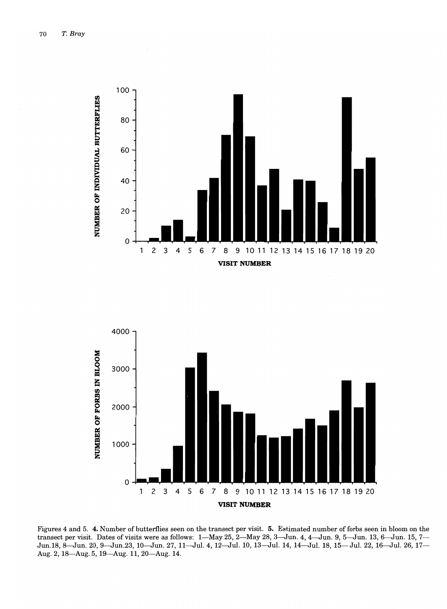



Figures 4 and 5. **4.** Number of butterflies seen on the transect per visit. **5.** Estimated number of forbs seen in bloom on the transect per visit. Dates of visits were as follows: 1-May 25, 2-May 28, 3-Jun. 4, 4-Jun. 9, 5-Jun. 13, 6-Jun. 15, 7-Jun.18, 8-Jun. 20, 9-Jun.23, 10-Jun. 27, 11-Jul. 4, 12-Jul. 10, 13-Jul. 14, 14-Jul. 18, 15-Jul. 22, 16-Jul. 26, 17- Aug. 2, 18-Aug. 5, 19-Aug. 11, 20-Aug. 14.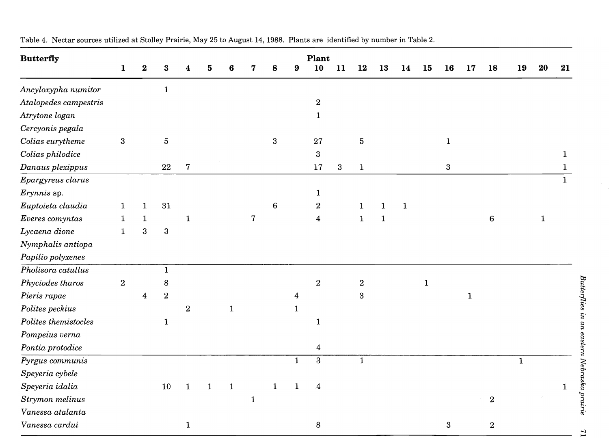| <b>Butterfly</b>      |              |                         |                |                |              |              |              |                  |              | Plant                   |    |                  |              |              |           |                  |             |                  |             |              |              |
|-----------------------|--------------|-------------------------|----------------|----------------|--------------|--------------|--------------|------------------|--------------|-------------------------|----|------------------|--------------|--------------|-----------|------------------|-------------|------------------|-------------|--------------|--------------|
|                       | $\mathbf{1}$ | $\bf 2$                 | 3              |                | 5            | 6            | 7            | 8                | 9            | 10                      | 11 | 12               | 13           | 14           | 15        | <b>16</b>        | 17          | 18               | 19          | $20\,$       | 21           |
| Ancyloxypha numitor   |              |                         | $\mathbf{1}$   |                |              |              |              |                  |              |                         |    |                  |              |              |           |                  |             |                  |             |              |              |
| Atalopedes campestris |              |                         |                |                |              |              |              |                  |              | $\bf 2$                 |    |                  |              |              |           |                  |             |                  |             |              |              |
| Atrytone logan        |              |                         |                |                |              |              |              |                  |              | $\mathbf 1$             |    |                  |              |              |           |                  |             |                  |             |              |              |
| Cercyonis pegala      |              |                         |                |                |              |              |              |                  |              |                         |    |                  |              |              |           |                  |             |                  |             |              |              |
| Colias eurytheme      | $\sqrt{3}$   |                         | $\bf 5$        |                |              |              |              | $\boldsymbol{3}$ |              | 27                      |    | $\bf 5$          |              |              |           | $\mathbf{1}$     |             |                  |             |              |              |
| Colias philodice      |              |                         |                |                |              |              |              |                  |              | $\mathbf{3}$            |    |                  |              |              |           |                  |             |                  |             |              | $\mathbf{1}$ |
| Danaus plexippus      |              |                         | 22             | $\overline{7}$ |              |              |              |                  |              | 17                      | 3  | $\mathbf{1}$     |              |              |           | $\boldsymbol{3}$ |             |                  |             |              |              |
| Epargyreus clarus     |              |                         |                |                |              |              |              |                  |              |                         |    |                  |              |              |           |                  |             |                  |             |              | 1.           |
| Erynnis sp.           |              |                         |                |                |              |              |              |                  |              | $\mathbf{1}$            |    |                  |              |              |           |                  |             |                  |             |              |              |
| Euptoieta claudia     | $\mathbf{1}$ | $\mathbf{1}$            | 31             |                |              |              |              | 6                |              | $\overline{2}$          |    | $\mathbf{1}$     | $\mathbf{1}$ | $\mathbf{1}$ |           |                  |             |                  |             |              |              |
| Everes comyntas       | $\mathbf{1}$ | $\mathbf{1}$            |                | $\mathbf{1}$   |              |              | 7            |                  |              | $\overline{\mathbf{4}}$ |    | $\mathbf{1}$     | $\mathbf{1}$ |              |           |                  |             | $\bf 6$          |             | $\mathbf{1}$ |              |
| Lycaena dione         | $\mathbf{1}$ | $\boldsymbol{3}$        | $\bf{3}$       |                |              |              |              |                  |              |                         |    |                  |              |              |           |                  |             |                  |             |              |              |
| Nymphalis antiopa     |              |                         |                |                |              |              |              |                  |              |                         |    |                  |              |              |           |                  |             |                  |             |              |              |
| Papilio polyxenes     |              |                         |                |                |              |              |              |                  |              |                         |    |                  |              |              |           |                  |             |                  |             |              |              |
| Pholisora catullus    |              |                         | $\mathbf{1}$   |                |              |              |              |                  |              |                         |    |                  |              |              |           |                  |             |                  |             |              |              |
| Phyciodes tharos      | $\sqrt{2}$   |                         | 8              |                |              |              |              |                  |              | $\overline{2}$          |    | $\boldsymbol{2}$ |              |              | ${\bf 1}$ |                  |             |                  |             |              |              |
| Pieris rapae          |              | $\overline{\mathbf{4}}$ | $\overline{2}$ |                |              |              |              |                  | 4            |                         |    | $\overline{3}$   |              |              |           |                  | $\mathbf 1$ |                  |             |              |              |
| Polites peckius       |              |                         |                | $\sqrt{2}$     |              | $\mathbf{1}$ |              |                  | $\mathbf{1}$ |                         |    |                  |              |              |           |                  |             |                  |             |              |              |
| Polites themistocles  |              |                         | $\mathbf{1}$   |                |              |              |              |                  |              | $\mathbf{1}$            |    |                  |              |              |           |                  |             |                  |             |              |              |
| Pompeius verna        |              |                         |                |                |              |              |              |                  |              |                         |    |                  |              |              |           |                  |             |                  |             |              |              |
| Pontia protodice      |              |                         |                |                |              |              |              |                  |              | $\overline{\mathbf{4}}$ |    |                  |              |              |           |                  |             |                  |             |              |              |
| Pyrgus communis       |              |                         |                |                |              |              |              |                  | $\mathbf{1}$ | $\overline{3}$          |    | $\mathbf{1}$     |              |              |           |                  |             |                  | $\mathbf 1$ |              |              |
| Speyeria cybele       |              |                         |                |                |              |              |              |                  |              |                         |    |                  |              |              |           |                  |             |                  |             |              |              |
| Speyeria idalia       |              |                         | 10             | $\mathbf{1}$   | $\mathbf{1}$ | $\mathbf 1$  |              | $\mathbf{1}$     | $\mathbf{1}$ | $\mathbf{4}$            |    |                  |              |              |           |                  |             |                  |             |              | $\mathbf 1$  |
| Strymon melinus       |              |                         |                |                |              |              | $\mathbf{1}$ |                  |              |                         |    |                  |              |              |           |                  |             | $\boldsymbol{2}$ |             |              |              |
| Vanessa atalanta      |              |                         |                |                |              |              |              |                  |              |                         |    |                  |              |              |           |                  |             |                  |             |              |              |
| Vanessa cardui        |              |                         |                | $\mathbf{1}$   |              |              |              |                  |              | $\bf8$                  |    |                  |              |              |           | 3                |             | $\,2$            |             |              |              |

Table 4. Nectar sources utilized at Stolley Prairie, May 25 to August 14, 1988. Plants are identified by number in Table 2.

,....